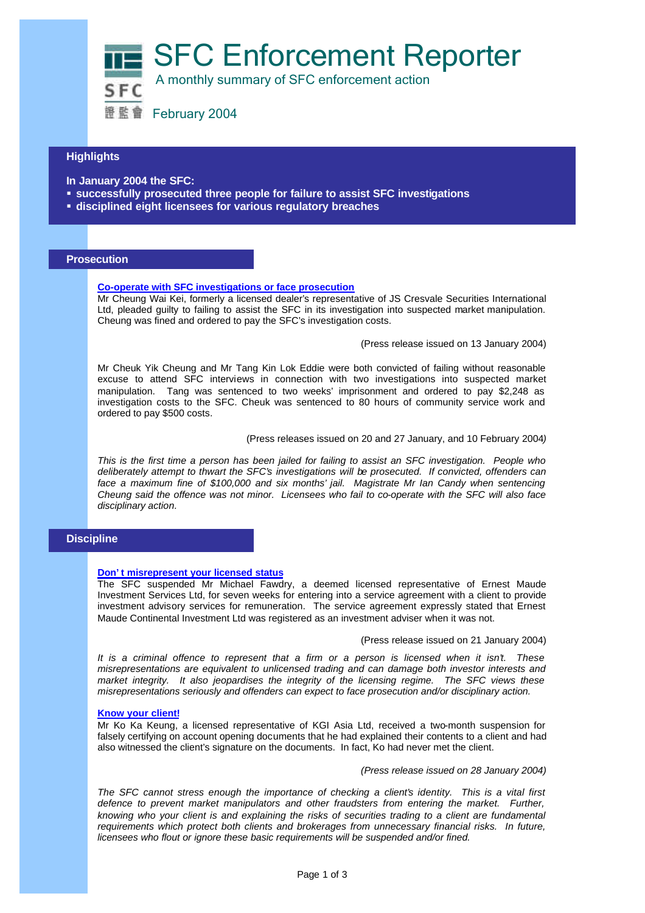SFC Enforcement Reporter



A monthly summary of SFC enforcement action

證監會 February 2004

# **Highlights**

**In January 2004 the SFC:**

- **Example 3 successfully prosecuted three people for failure to assist SFC investigations**
- ß **disciplined eight licensees for various regulatory breaches**

### **Prosecution**

### **Co-operate with SFC investigations or face prosecution**

Mr Cheung Wai Kei, formerly a licensed dealer's representative of JS Cresvale Securities International Ltd, pleaded guilty to failing to assist the SFC in its investigation into suspected market manipulation. Cheung was fined and ordered to pay the SFC's investigation costs.

(Press release issued on 13 January 2004)

Mr Cheuk Yik Cheung and Mr Tang Kin Lok Eddie were both convicted of failing without reasonable excuse to attend SFC interviews in connection with two investigations into suspected market manipulation. Tang was sentenced to two weeks' imprisonment and ordered to pay \$2,248 as investigation costs to the SFC. Cheuk was sentenced to 80 hours of community service work and ordered to pay \$500 costs.

(Press releases issued on 20 and 27 January, and 10 February 2004*)*

*This is the first time a person has been jailed for failing to assist an SFC investigation. People who deliberately attempt to thwart the SFC's investigations will be prosecuted. If convicted, offenders can*  face a maximum fine of \$100,000 and six months' jail. Magistrate Mr Ian Candy when sentencing *Cheung said the offence was not minor. Licensees who fail to co-operate with the SFC will also face disciplinary action.*

# **Discipline**

### **Don't misrepresent your licensed status**

The SFC suspended Mr Michael Fawdry, a deemed licensed representative of Ernest Maude Investment Services Ltd, for seven weeks for entering into a service agreement with a client to provide investment advisory services for remuneration. The service agreement expressly stated that Ernest Maude Continental Investment Ltd was registered as an investment adviser when it was not.

#### (Press release issued on 21 January 2004)

*It is a criminal offence to represent that a firm or a person is licensed when it isn't. These misrepresentations are equivalent to unlicensed trading and can damage both investor interests and market integrity. It also jeopardises the integrity of the licensing regime. The SFC views these misrepresentations seriously and offenders can expect to face prosecution and/or disciplinary action.*

### **Know your client!**

Mr Ko Ka Keung, a licensed representative of KGI Asia Ltd, received a two-month suspension for falsely certifying on account opening documents that he had explained their contents to a client and had also witnessed the client's signature on the documents. In fact, Ko had never met the client.

*(Press release issued on 28 January 2004)*

*The SFC cannot stress enough the importance of checking a client's identity. This is a vital first defence to prevent market manipulators and other fraudsters from entering the market. Further, knowing who your client is and explaining the risks of securities trading to a client are fundamental requirements which protect both clients and brokerages from unnecessary financial risks. In future, licensees who flout or ignore these basic requirements will be suspended and/or fined.*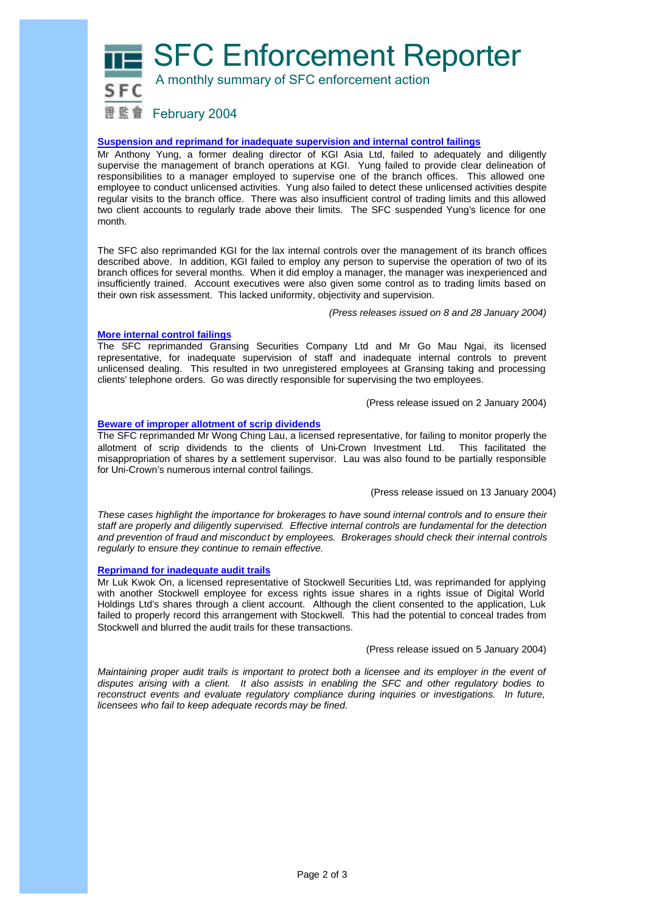SFC Enforcement Reporter



A monthly summary of SFC enforcement action

證監會 February 2004

**Suspension and reprimand for inadequate supervision and internal control failings**

Mr Anthony Yung, a former dealing director of KGI Asia Ltd, failed to adequately and diligently supervise the management of branch operations at KGI. Yung failed to provide clear delineation of responsibilities to a manager employed to supervise one of the branch offices. This allowed one employee to conduct unlicensed activities. Yung also failed to detect these unlicensed activities despite regular visits to the branch office. There was also insufficient control of trading limits and this allowed two client accounts to regularly trade above their limits. The SFC suspended Yung's licence for one month.

The SFC also reprimanded KGI for the lax internal controls over the management of its branch offices described above. In addition, KGI failed to employ any person to supervise the operation of two of its branch offices for several months. When it did employ a manager, the manager was inexperienced and insufficiently trained. Account executives were also given some control as to trading limits based on their own risk assessment. This lacked uniformity, objectivity and supervision.

*(Press releases issued on 8 and 28 January 2004)*

### **More internal control failings**

The SFC reprimanded Gransing Securities Company Ltd and Mr Go Mau Ngai, its licensed representative, for inadequate supervision of staff and inadequate internal controls to prevent unlicensed dealing. This resulted in two unregistered employees at Gransing taking and processing clients' telephone orders. Go was directly responsible for supervising the two employees.

(Press release issued on 2 January 2004)

### **Beware of improper allotment of scrip dividends**

The SFC reprimanded Mr Wong Ching Lau, a licensed representative, for failing to monitor properly the allotment of scrip dividends to the clients of Uni-Crown Investment Ltd. This facilitated the misappropriation of shares by a settlement supervisor. Lau was also found to be partially responsible for Uni-Crown's numerous internal control failings.

(Press release issued on 13 January 2004)

*These cases highlight the importance for brokerages to have sound internal controls and to ensure their staff are properly and diligently supervised. Effective internal controls are fundamental for the detection and prevention of fraud and misconduct by employees. Brokerages should check their internal controls regularly to ensure they continue to remain effective.*

### **Reprimand for inadequate audit trails**

Mr Luk Kwok On, a licensed representative of Stockwell Securities Ltd, was reprimanded for applying with another Stockwell employee for excess rights issue shares in a rights issue of Digital World Holdings Ltd's shares through a client account. Although the client consented to the application, Luk failed to properly record this arrangement with Stockwell. This had the potential to conceal trades from Stockwell and blurred the audit trails for these transactions.

(Press release issued on 5 January 2004)

*Maintaining proper audit trails is important to protect both a licensee and its employer in the event of disputes arising with a client. It also assists in enabling the SFC and other regulatory bodies to reconstruct events and evaluate regulatory compliance during inquiries or investigations. In future, licensees who fail to keep adequate records may be fined.*